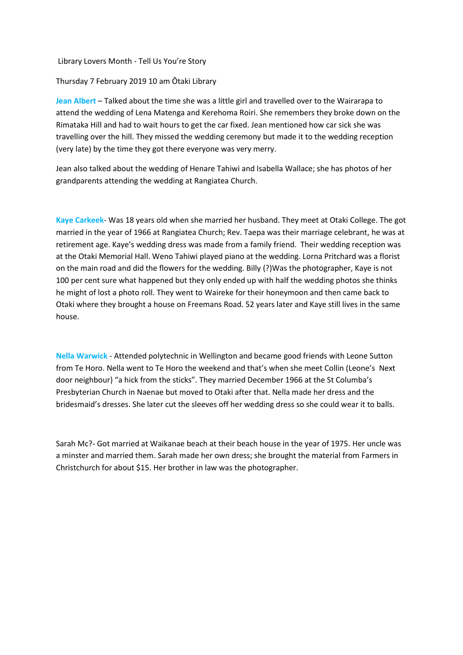Library Lovers Month - Tell Us You're Story

Thursday 7 February 2019 10 am Ōtaki Library

**Jean Albert** – Talked about the time she was a little girl and travelled over to the Wairarapa to attend the wedding of Lena Matenga and Kerehoma Roiri. She remembers they broke down on the Rimataka Hill and had to wait hours to get the car fixed. Jean mentioned how car sick she was travelling over the hill. They missed the wedding ceremony but made it to the wedding reception (very late) by the time they got there everyone was very merry.

Jean also talked about the wedding of Henare Tahiwi and Isabella Wallace; she has photos of her grandparents attending the wedding at Rangiatea Church.

**Kaye Carkeek**- Was 18 years old when she married her husband. They meet at Otaki College. The got married in the year of 1966 at Rangiatea Church; Rev. Taepa was their marriage celebrant, he was at retirement age. Kaye's wedding dress was made from a family friend. Their wedding reception was at the Otaki Memorial Hall. Weno Tahiwi played piano at the wedding. Lorna Pritchard was a florist on the main road and did the flowers for the wedding. Billy (?)Was the photographer, Kaye is not 100 per cent sure what happened but they only ended up with half the wedding photos she thinks he might of lost a photo roll. They went to Waireke for their honeymoon and then came back to Otaki where they brought a house on Freemans Road. 52 years later and Kaye still lives in the same house.

**Nella Warwick** - Attended polytechnic in Wellington and became good friends with Leone Sutton from Te Horo. Nella went to Te Horo the weekend and that's when she meet Collin (Leone's Next door neighbour) "a hick from the sticks". They married December 1966 at the St Columba's Presbyterian Church in Naenae but moved to Otaki after that. Nella made her dress and the bridesmaid's dresses. She later cut the sleeves off her wedding dress so she could wear it to balls.

Sarah Mc?- Got married at Waikanae beach at their beach house in the year of 1975. Her uncle was a minster and married them. Sarah made her own dress; she brought the material from Farmers in Christchurch for about \$15. Her brother in law was the photographer.